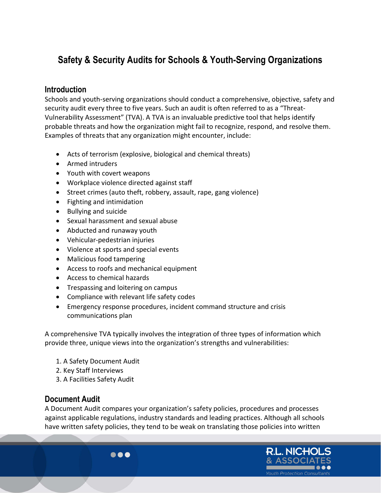# Safety & Security Audits for Schools & Youth-Serving Organizations

#### **Introduction**

Schools and youth-serving organizations should conduct a comprehensive, objective, safety and security audit every three to five years. Such an audit is often referred to as a "Threat-Vulnerability Assessment" (TVA). A TVA is an invaluable predictive tool that helps identify probable threats and how the organization might fail to recognize, respond, and resolve them. Examples of threats that any organization might encounter, include:

- Acts of terrorism (explosive, biological and chemical threats)
- Armed intruders
- Youth with covert weapons
- Workplace violence directed against staff
- Street crimes (auto theft, robbery, assault, rape, gang violence)
- Fighting and intimidation
- Bullying and suicide
- Sexual harassment and sexual abuse
- Abducted and runaway youth
- Vehicular-pedestrian injuries
- Violence at sports and special events
- Malicious food tampering
- Access to roofs and mechanical equipment
- Access to chemical hazards
- Trespassing and loitering on campus
- Compliance with relevant life safety codes

 $\bullet\bullet\bullet$ 

 Emergency response procedures, incident command structure and crisis communications plan

A comprehensive TVA typically involves the integration of three types of information which provide three, unique views into the organization's strengths and vulnerabilities:

- 1. A Safety Document Audit
- 2. Key Staff Interviews
- 3. A Facilities Safety Audit

#### Document Audit

A Document Audit compares your organization's safety policies, procedures and processes against applicable regulations, industry standards and leading practices. Although all schools have written safety policies, they tend to be weak on translating those policies into written

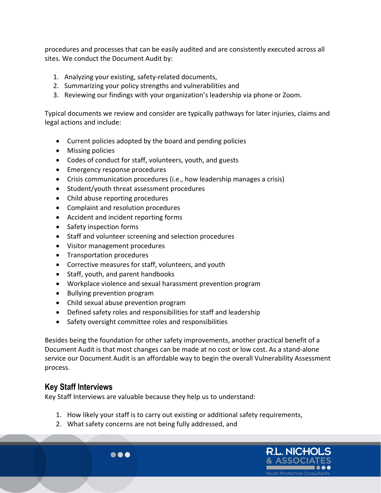procedures and processes that can be easily audited and are consistently executed across all sites. We conduct the Document Audit by:

- 1. Analyzing your existing, safety-related documents,
- 2. Summarizing your policy strengths and vulnerabilities and
- 3. Reviewing our findings with your organization's leadership via phone or Zoom.

Typical documents we review and consider are typically pathways for later injuries, claims and legal actions and include:

- Current policies adopted by the board and pending policies
- Missing policies
- Codes of conduct for staff, volunteers, youth, and guests
- Emergency response procedures
- Crisis communication procedures (i.e., how leadership manages a crisis)
- Student/youth threat assessment procedures
- Child abuse reporting procedures
- Complaint and resolution procedures
- Accident and incident reporting forms
- Safety inspection forms
- Staff and volunteer screening and selection procedures
- Visitor management procedures
- Transportation procedures
- Corrective measures for staff, volunteers, and youth
- Staff, youth, and parent handbooks
- Workplace violence and sexual harassment prevention program
- Bullying prevention program
- Child sexual abuse prevention program

 $\bullet\bullet\bullet$ 

- Defined safety roles and responsibilities for staff and leadership
- Safety oversight committee roles and responsibilities

Besides being the foundation for other safety improvements, another practical benefit of a Document Audit is that most changes can be made at no cost or low cost. As a stand-alone service our Document Audit is an affordable way to begin the overall Vulnerability Assessment process.

#### Key Staff Interviews

Key Staff Interviews are valuable because they help us to understand:

- 1. How likely your staff is to carry out existing or additional safety requirements,
- 2. What safety concerns are not being fully addressed, and

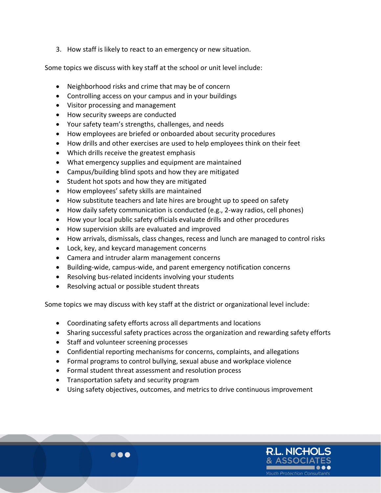3. How staff is likely to react to an emergency or new situation.

Some topics we discuss with key staff at the school or unit level include:

- Neighborhood risks and crime that may be of concern
- Controlling access on your campus and in your buildings
- Visitor processing and management
- How security sweeps are conducted
- Your safety team's strengths, challenges, and needs
- How employees are briefed or onboarded about security procedures
- How drills and other exercises are used to help employees think on their feet
- Which drills receive the greatest emphasis
- What emergency supplies and equipment are maintained
- Campus/building blind spots and how they are mitigated
- Student hot spots and how they are mitigated
- How employees' safety skills are maintained
- How substitute teachers and late hires are brought up to speed on safety
- How daily safety communication is conducted (e.g., 2-way radios, cell phones)
- How your local public safety officials evaluate drills and other procedures
- How supervision skills are evaluated and improved
- How arrivals, dismissals, class changes, recess and lunch are managed to control risks
- Lock, key, and keycard management concerns
- Camera and intruder alarm management concerns
- Building-wide, campus-wide, and parent emergency notification concerns
- Resolving bus-related incidents involving your students
- Resolving actual or possible student threats

Some topics we may discuss with key staff at the district or organizational level include:

- Coordinating safety efforts across all departments and locations
- Sharing successful safety practices across the organization and rewarding safety efforts
- Staff and volunteer screening processes
- Confidential reporting mechanisms for concerns, complaints, and allegations
- Formal programs to control bullying, sexual abuse and workplace violence
- Formal student threat assessment and resolution process
- Transportation safety and security program
- Using safety objectives, outcomes, and metrics to drive continuous improvement